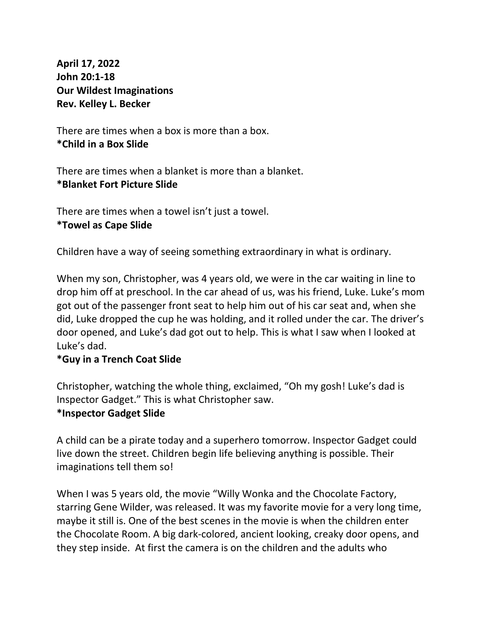**April 17, 2022 John 20:1-18 Our Wildest Imaginations Rev. Kelley L. Becker**

There are times when a box is more than a box. **\*Child in a Box Slide**

There are times when a blanket is more than a blanket. **\*Blanket Fort Picture Slide**

There are times when a towel isn't just a towel. **\*Towel as Cape Slide**

Children have a way of seeing something extraordinary in what is ordinary.

When my son, Christopher, was 4 years old, we were in the car waiting in line to drop him off at preschool. In the car ahead of us, was his friend, Luke. Luke's mom got out of the passenger front seat to help him out of his car seat and, when she did, Luke dropped the cup he was holding, and it rolled under the car. The driver's door opened, and Luke's dad got out to help. This is what I saw when I looked at Luke's dad.

# **\*Guy in a Trench Coat Slide**

Christopher, watching the whole thing, exclaimed, "Oh my gosh! Luke's dad is Inspector Gadget." This is what Christopher saw.

# **\*Inspector Gadget Slide**

A child can be a pirate today and a superhero tomorrow. Inspector Gadget could live down the street. Children begin life believing anything is possible. Their imaginations tell them so!

When I was 5 years old, the movie "Willy Wonka and the Chocolate Factory, starring Gene Wilder, was released. It was my favorite movie for a very long time, maybe it still is. One of the best scenes in the movie is when the children enter the Chocolate Room. A big dark-colored, ancient looking, creaky door opens, and they step inside. At first the camera is on the children and the adults who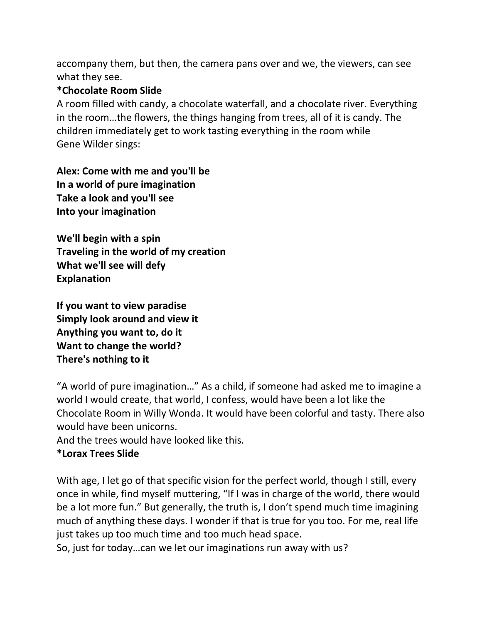accompany them, but then, the camera pans over and we, the viewers, can see what they see.

### **\*Chocolate Room Slide**

A room filled with candy, a chocolate waterfall, and a chocolate river. Everything in the room…the flowers, the things hanging from trees, all of it is candy. The children immediately get to work tasting everything in the room while Gene Wilder sings:

**Alex: Come with me and you'll be In a world of pure imagination Take a look and you'll see Into your imagination**

**We'll begin with a spin Traveling in the world of my creation What we'll see will defy Explanation**

**If you want to view paradise Simply look around and view it Anything you want to, do it Want to change the world? There's nothing to it**

"A world of pure imagination…" As a child, if someone had asked me to imagine a world I would create, that world, I confess, would have been a lot like the Chocolate Room in Willy Wonda. It would have been colorful and tasty. There also would have been unicorns.

And the trees would have looked like this.

# **\*Lorax Trees Slide**

With age, I let go of that specific vision for the perfect world, though I still, every once in while, find myself muttering, "If I was in charge of the world, there would be a lot more fun." But generally, the truth is, I don't spend much time imagining much of anything these days. I wonder if that is true for you too. For me, real life just takes up too much time and too much head space.

So, just for today…can we let our imaginations run away with us?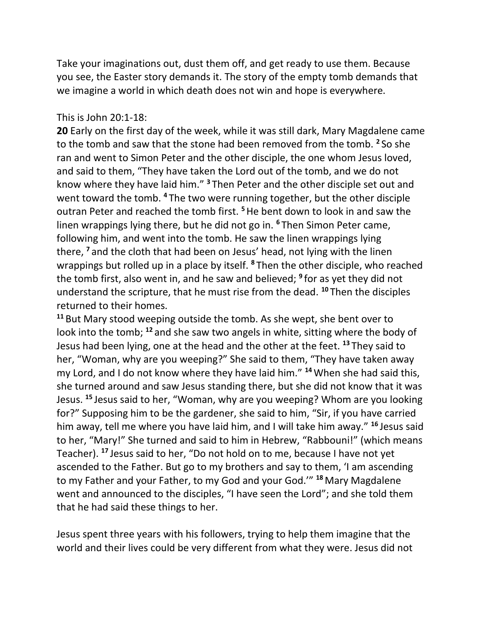Take your imaginations out, dust them off, and get ready to use them. Because you see, the Easter story demands it. The story of the empty tomb demands that we imagine a world in which death does not win and hope is everywhere.

### This is John 20:1-18:

**20** Early on the first day of the week, while it was still dark, Mary Magdalene came to the tomb and saw that the stone had been removed from the tomb. **<sup>2</sup>** So she ran and went to Simon Peter and the other disciple, the one whom Jesus loved, and said to them, "They have taken the Lord out of the tomb, and we do not know where they have laid him." **<sup>3</sup>** Then Peter and the other disciple set out and went toward the tomb. **<sup>4</sup>** The two were running together, but the other disciple outran Peter and reached the tomb first. **<sup>5</sup>**He bent down to look in and saw the linen wrappings lying there, but he did not go in. **<sup>6</sup>** Then Simon Peter came, following him, and went into the tomb. He saw the linen wrappings lying there, **<sup>7</sup>** and the cloth that had been on Jesus' head, not lying with the linen wrappings but rolled up in a place by itself. **<sup>8</sup>** Then the other disciple, who reached the tomb first, also went in, and he saw and believed; **<sup>9</sup>** for as yet they did not understand the scripture, that he must rise from the dead. **<sup>10</sup>** Then the disciples returned to their homes.

**<sup>11</sup>** But Mary stood weeping outside the tomb. As she wept, she bent over to look into the tomb; **<sup>12</sup>** and she saw two angels in white, sitting where the body of Jesus had been lying, one at the head and the other at the feet. **<sup>13</sup>** They said to her, "Woman, why are you weeping?" She said to them, "They have taken away my Lord, and I do not know where they have laid him." **<sup>14</sup>**When she had said this, she turned around and saw Jesus standing there, but she did not know that it was Jesus. **<sup>15</sup>** Jesus said to her, "Woman, why are you weeping? Whom are you looking for?" Supposing him to be the gardener, she said to him, "Sir, if you have carried him away, tell me where you have laid him, and I will take him away." **<sup>16</sup>** Jesus said to her, "Mary!" She turned and said to him in Hebrew, "Rabbouni!" (which means Teacher). **<sup>17</sup>** Jesus said to her, "Do not hold on to me, because I have not yet ascended to the Father. But go to my brothers and say to them, 'I am ascending to my Father and your Father, to my God and your God.'" **<sup>18</sup>** Mary Magdalene went and announced to the disciples, "I have seen the Lord"; and she told them that he had said these things to her.

Jesus spent three years with his followers, trying to help them imagine that the world and their lives could be very different from what they were. Jesus did not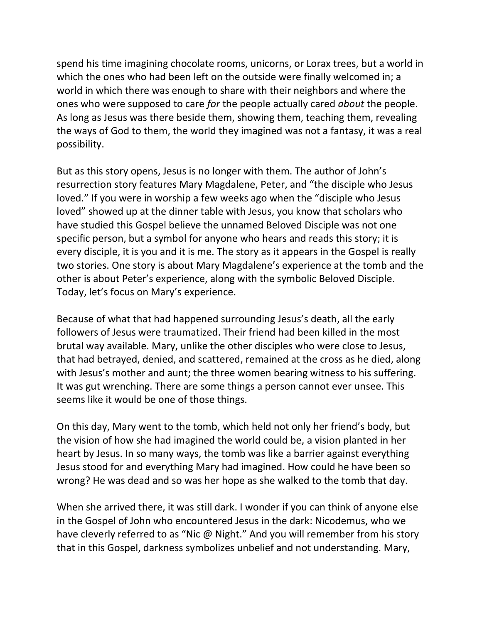spend his time imagining chocolate rooms, unicorns, or Lorax trees, but a world in which the ones who had been left on the outside were finally welcomed in; a world in which there was enough to share with their neighbors and where the ones who were supposed to care *for* the people actually cared *about* the people. As long as Jesus was there beside them, showing them, teaching them, revealing the ways of God to them, the world they imagined was not a fantasy, it was a real possibility.

But as this story opens, Jesus is no longer with them. The author of John's resurrection story features Mary Magdalene, Peter, and "the disciple who Jesus loved." If you were in worship a few weeks ago when the "disciple who Jesus loved" showed up at the dinner table with Jesus, you know that scholars who have studied this Gospel believe the unnamed Beloved Disciple was not one specific person, but a symbol for anyone who hears and reads this story; it is every disciple, it is you and it is me. The story as it appears in the Gospel is really two stories. One story is about Mary Magdalene's experience at the tomb and the other is about Peter's experience, along with the symbolic Beloved Disciple. Today, let's focus on Mary's experience.

Because of what that had happened surrounding Jesus's death, all the early followers of Jesus were traumatized. Their friend had been killed in the most brutal way available. Mary, unlike the other disciples who were close to Jesus, that had betrayed, denied, and scattered, remained at the cross as he died, along with Jesus's mother and aunt; the three women bearing witness to his suffering. It was gut wrenching. There are some things a person cannot ever unsee. This seems like it would be one of those things.

On this day, Mary went to the tomb, which held not only her friend's body, but the vision of how she had imagined the world could be, a vision planted in her heart by Jesus. In so many ways, the tomb was like a barrier against everything Jesus stood for and everything Mary had imagined. How could he have been so wrong? He was dead and so was her hope as she walked to the tomb that day.

When she arrived there, it was still dark. I wonder if you can think of anyone else in the Gospel of John who encountered Jesus in the dark: Nicodemus, who we have cleverly referred to as "Nic @ Night." And you will remember from his story that in this Gospel, darkness symbolizes unbelief and not understanding. Mary,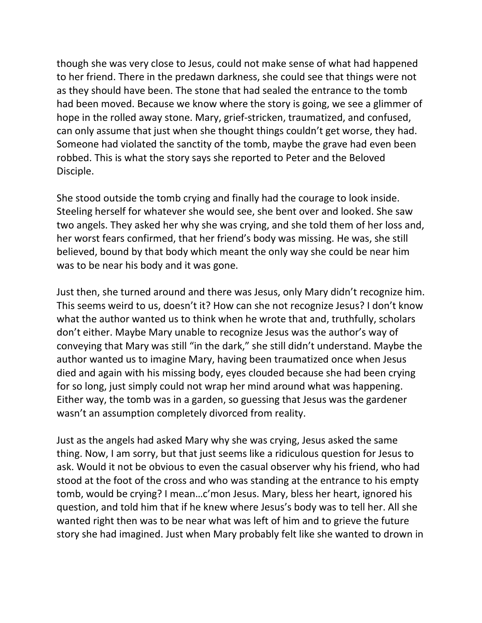though she was very close to Jesus, could not make sense of what had happened to her friend. There in the predawn darkness, she could see that things were not as they should have been. The stone that had sealed the entrance to the tomb had been moved. Because we know where the story is going, we see a glimmer of hope in the rolled away stone. Mary, grief-stricken, traumatized, and confused, can only assume that just when she thought things couldn't get worse, they had. Someone had violated the sanctity of the tomb, maybe the grave had even been robbed. This is what the story says she reported to Peter and the Beloved Disciple.

She stood outside the tomb crying and finally had the courage to look inside. Steeling herself for whatever she would see, she bent over and looked. She saw two angels. They asked her why she was crying, and she told them of her loss and, her worst fears confirmed, that her friend's body was missing. He was, she still believed, bound by that body which meant the only way she could be near him was to be near his body and it was gone.

Just then, she turned around and there was Jesus, only Mary didn't recognize him. This seems weird to us, doesn't it? How can she not recognize Jesus? I don't know what the author wanted us to think when he wrote that and, truthfully, scholars don't either. Maybe Mary unable to recognize Jesus was the author's way of conveying that Mary was still "in the dark," she still didn't understand. Maybe the author wanted us to imagine Mary, having been traumatized once when Jesus died and again with his missing body, eyes clouded because she had been crying for so long, just simply could not wrap her mind around what was happening. Either way, the tomb was in a garden, so guessing that Jesus was the gardener wasn't an assumption completely divorced from reality.

Just as the angels had asked Mary why she was crying, Jesus asked the same thing. Now, I am sorry, but that just seems like a ridiculous question for Jesus to ask. Would it not be obvious to even the casual observer why his friend, who had stood at the foot of the cross and who was standing at the entrance to his empty tomb, would be crying? I mean…c'mon Jesus. Mary, bless her heart, ignored his question, and told him that if he knew where Jesus's body was to tell her. All she wanted right then was to be near what was left of him and to grieve the future story she had imagined. Just when Mary probably felt like she wanted to drown in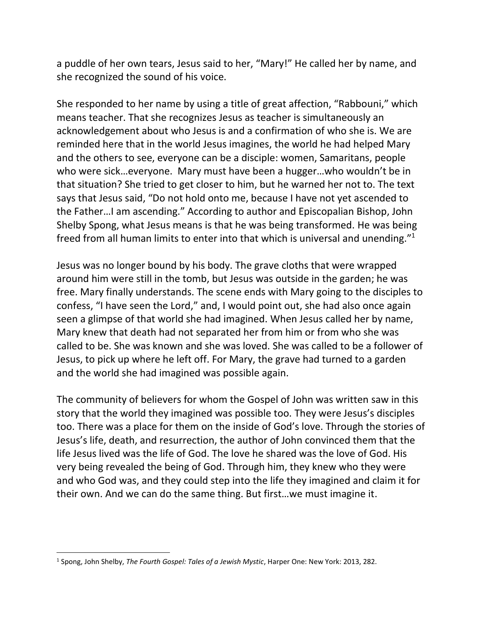a puddle of her own tears, Jesus said to her, "Mary!" He called her by name, and she recognized the sound of his voice.

She responded to her name by using a title of great affection, "Rabbouni," which means teacher. That she recognizes Jesus as teacher is simultaneously an acknowledgement about who Jesus is and a confirmation of who she is. We are reminded here that in the world Jesus imagines, the world he had helped Mary and the others to see, everyone can be a disciple: women, Samaritans, people who were sick…everyone. Mary must have been a hugger…who wouldn't be in that situation? She tried to get closer to him, but he warned her not to. The text says that Jesus said, "Do not hold onto me, because I have not yet ascended to the Father…I am ascending." According to author and Episcopalian Bishop, John Shelby Spong, what Jesus means is that he was being transformed. He was being freed from all human limits to enter into that which is universal and unending."<sup>1</sup>

Jesus was no longer bound by his body. The grave cloths that were wrapped around him were still in the tomb, but Jesus was outside in the garden; he was free. Mary finally understands. The scene ends with Mary going to the disciples to confess, "I have seen the Lord," and, I would point out, she had also once again seen a glimpse of that world she had imagined. When Jesus called her by name, Mary knew that death had not separated her from him or from who she was called to be. She was known and she was loved. She was called to be a follower of Jesus, to pick up where he left off. For Mary, the grave had turned to a garden and the world she had imagined was possible again.

The community of believers for whom the Gospel of John was written saw in this story that the world they imagined was possible too. They were Jesus's disciples too. There was a place for them on the inside of God's love. Through the stories of Jesus's life, death, and resurrection, the author of John convinced them that the life Jesus lived was the life of God. The love he shared was the love of God. His very being revealed the being of God. Through him, they knew who they were and who God was, and they could step into the life they imagined and claim it for their own. And we can do the same thing. But first…we must imagine it.

<sup>1</sup> Spong, John Shelby, *The Fourth Gospel: Tales of a Jewish Mystic*, Harper One: New York: 2013, 282.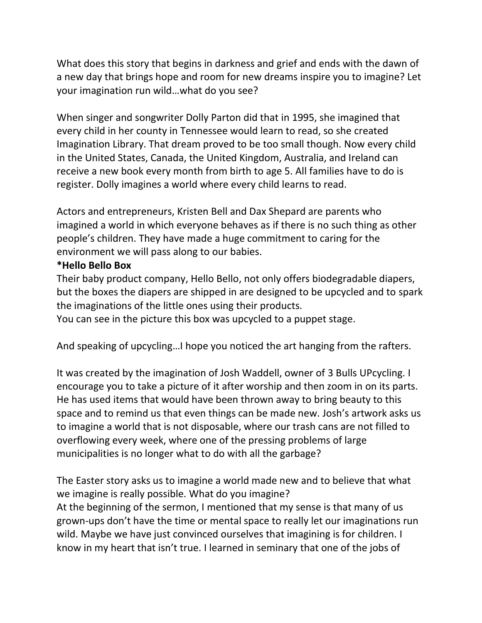What does this story that begins in darkness and grief and ends with the dawn of a new day that brings hope and room for new dreams inspire you to imagine? Let your imagination run wild…what do you see?

When singer and songwriter Dolly Parton did that in 1995, she imagined that every child in her county in Tennessee would learn to read, so she created Imagination Library. That dream proved to be too small though. Now every child in the United States, Canada, the United Kingdom, Australia, and Ireland can receive a new book every month from birth to age 5. All families have to do is register. Dolly imagines a world where every child learns to read.

Actors and entrepreneurs, Kristen Bell and Dax Shepard are parents who imagined a world in which everyone behaves as if there is no such thing as other people's children. They have made a huge commitment to caring for the environment we will pass along to our babies.

### **\*Hello Bello Box**

Their baby product company, Hello Bello, not only offers biodegradable diapers, but the boxes the diapers are shipped in are designed to be upcycled and to spark the imaginations of the little ones using their products.

You can see in the picture this box was upcycled to a puppet stage.

And speaking of upcycling…I hope you noticed the art hanging from the rafters.

It was created by the imagination of Josh Waddell, owner of 3 Bulls UPcycling. I encourage you to take a picture of it after worship and then zoom in on its parts. He has used items that would have been thrown away to bring beauty to this space and to remind us that even things can be made new. Josh's artwork asks us to imagine a world that is not disposable, where our trash cans are not filled to overflowing every week, where one of the pressing problems of large municipalities is no longer what to do with all the garbage?

The Easter story asks us to imagine a world made new and to believe that what we imagine is really possible. What do you imagine? At the beginning of the sermon, I mentioned that my sense is that many of us grown-ups don't have the time or mental space to really let our imaginations run wild. Maybe we have just convinced ourselves that imagining is for children. I know in my heart that isn't true. I learned in seminary that one of the jobs of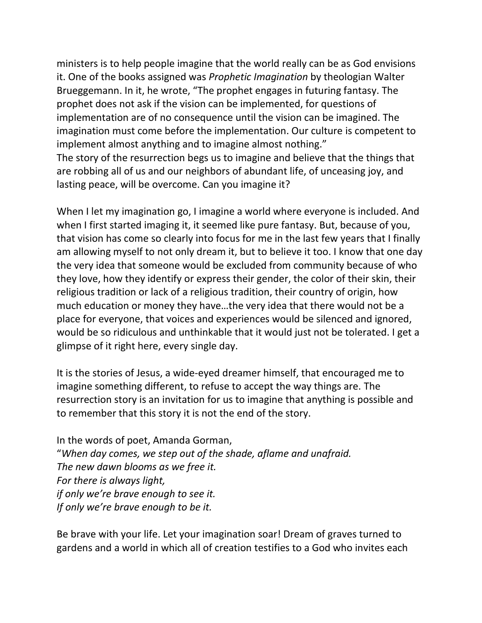ministers is to help people imagine that the world really can be as God envisions it. One of the books assigned was *Prophetic Imagination* by theologian Walter Brueggemann. In it, he wrote, "The prophet engages in futuring fantasy. The prophet does not ask if the vision can be implemented, for questions of implementation are of no consequence until the vision can be imagined. The imagination must come before the implementation. Our culture is competent to implement almost anything and to imagine almost nothing." The story of the resurrection begs us to imagine and believe that the things that are robbing all of us and our neighbors of abundant life, of unceasing joy, and lasting peace, will be overcome. Can you imagine it?

When I let my imagination go, I imagine a world where everyone is included. And when I first started imaging it, it seemed like pure fantasy. But, because of you, that vision has come so clearly into focus for me in the last few years that I finally am allowing myself to not only dream it, but to believe it too. I know that one day the very idea that someone would be excluded from community because of who they love, how they identify or express their gender, the color of their skin, their religious tradition or lack of a religious tradition, their country of origin, how much education or money they have…the very idea that there would not be a place for everyone, that voices and experiences would be silenced and ignored, would be so ridiculous and unthinkable that it would just not be tolerated. I get a glimpse of it right here, every single day.

It is the stories of Jesus, a wide-eyed dreamer himself, that encouraged me to imagine something different, to refuse to accept the way things are. The resurrection story is an invitation for us to imagine that anything is possible and to remember that this story it is not the end of the story.

In the words of poet, Amanda Gorman, "*When day comes, we step out of the shade, aflame and unafraid. The new dawn blooms as we free it. For there is always light, if only we're brave enough to see it. If only we're brave enough to be it.*

Be brave with your life. Let your imagination soar! Dream of graves turned to gardens and a world in which all of creation testifies to a God who invites each